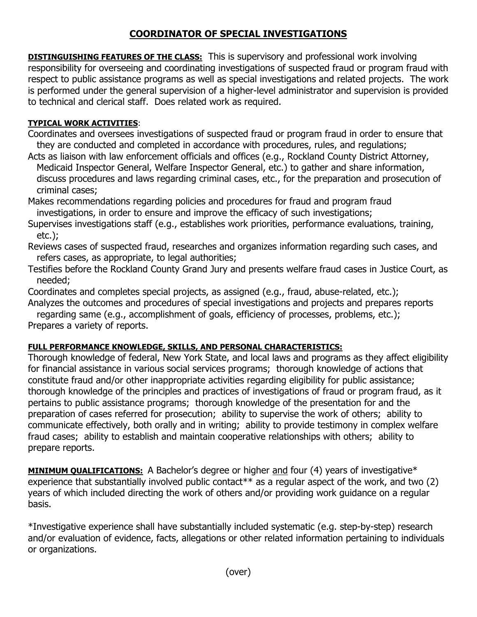## **COORDINATOR OF SPECIAL INVESTIGATIONS**

**DISTINGUISHING FEATURES OF THE CLASS:** This is supervisory and professional work involving responsibility for overseeing and coordinating investigations of suspected fraud or program fraud with respect to public assistance programs as well as special investigations and related projects. The work is performed under the general supervision of a higher-level administrator and supervision is provided to technical and clerical staff. Does related work as required.

## **TYPICAL WORK ACTIVITIES**:

- Coordinates and oversees investigations of suspected fraud or program fraud in order to ensure that they are conducted and completed in accordance with procedures, rules, and regulations;
- Acts as liaison with law enforcement officials and offices (e.g., Rockland County District Attorney, Medicaid Inspector General, Welfare Inspector General, etc.) to gather and share information, discuss procedures and laws regarding criminal cases, etc., for the preparation and prosecution of criminal cases;
- Makes recommendations regarding policies and procedures for fraud and program fraud investigations, in order to ensure and improve the efficacy of such investigations;
- Supervises investigations staff (e.g., establishes work priorities, performance evaluations, training, etc.);
- Reviews cases of suspected fraud, researches and organizes information regarding such cases, and refers cases, as appropriate, to legal authorities;
- Testifies before the Rockland County Grand Jury and presents welfare fraud cases in Justice Court, as needed;
- Coordinates and completes special projects, as assigned (e.g., fraud, abuse-related, etc.);
- Analyzes the outcomes and procedures of special investigations and projects and prepares reports

 regarding same (e.g., accomplishment of goals, efficiency of processes, problems, etc.); Prepares a variety of reports.

## **FULL PERFORMANCE KNOWLEDGE, SKILLS, AND PERSONAL CHARACTERISTICS:**

Thorough knowledge of federal, New York State, and local laws and programs as they affect eligibility for financial assistance in various social services programs; thorough knowledge of actions that constitute fraud and/or other inappropriate activities regarding eligibility for public assistance; thorough knowledge of the principles and practices of investigations of fraud or program fraud, as it pertains to public assistance programs; thorough knowledge of the presentation for and the preparation of cases referred for prosecution; ability to supervise the work of others; ability to communicate effectively, both orally and in writing; ability to provide testimony in complex welfare fraud cases; ability to establish and maintain cooperative relationships with others; ability to prepare reports.

**MINIMUM QUALIFICATIONS:** A Bachelor's degree or higher and four (4) years of investigative<sup>\*</sup> experience that substantially involved public contact\*\* as a regular aspect of the work, and two (2) years of which included directing the work of others and/or providing work guidance on a regular basis.

\*Investigative experience shall have substantially included systematic (e.g. step-by-step) research and/or evaluation of evidence, facts, allegations or other related information pertaining to individuals or organizations.